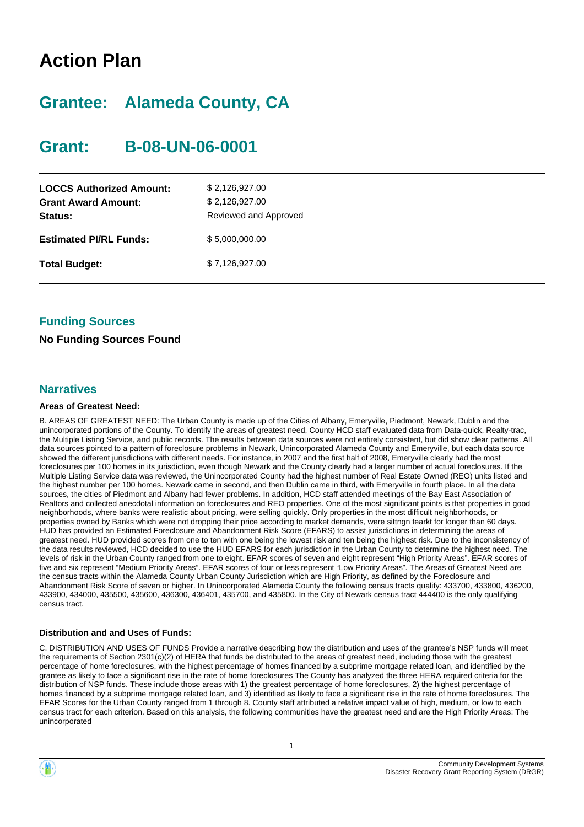# **Action Plan**

# **Grantee: Alameda County, CA**

# **Grant: B-08-UN-06-0001**

| <b>LOCCS Authorized Amount:</b><br><b>Grant Award Amount:</b><br>Status: | \$2,126,927.00<br>\$2,126,927.00<br>Reviewed and Approved |
|--------------------------------------------------------------------------|-----------------------------------------------------------|
| <b>Estimated PI/RL Funds:</b>                                            | \$5,000,000.00                                            |
| <b>Total Budget:</b>                                                     | \$7.126.927.00                                            |

### **Funding Sources**

#### **No Funding Sources Found**

#### **Narratives**

#### **Areas of Greatest Need:**

B. AREAS OF GREATEST NEED: The Urban County is made up of the Cities of Albany, Emeryville, Piedmont, Newark, Dublin and the unincorporated portions of the County. To identify the areas of greatest need, County HCD staff evaluated data from Data-quick, Realty-trac, the Multiple Listing Service, and public records. The results between data sources were not entirely consistent, but did show clear patterns. All data sources pointed to a pattern of foreclosure problems in Newark, Unincorporated Alameda County and Emeryville, but each data source showed the different jurisdictions with different needs. For instance, in 2007 and the first half of 2008, Emeryville clearly had the most foreclosures per 100 homes in its jurisdiction, even though Newark and the County clearly had a larger number of actual foreclosures. If the Multiple Listing Service data was reviewed, the Unincorporated County had the highest number of Real Estate Owned (REO) units listed and the highest number per 100 homes. Newark came in second, and then Dublin came in third, with Emeryville in fourth place. In all the data sources, the cities of Piedmont and Albany had fewer problems. In addition, HCD staff attended meetings of the Bay East Association of Realtors and collected anecdotal information on foreclosures and REO properties. One of the most significant points is that properties in good neighborhoods, where banks were realistic about pricing, were selling quickly. Only properties in the most difficult neighborhoods, or properties owned by Banks which were not dropping their price according to market demands, were sittngn tearkt for longer than 60 days. HUD has provided an Estimated Foreclosure and Abandonment Risk Score (EFARS) to assist jurisdictions in determining the areas of greatest need. HUD provided scores from one to ten with one being the lowest risk and ten being the highest risk. Due to the inconsistency of the data results reviewed, HCD decided to use the HUD EFARS for each jurisdiction in the Urban County to determine the highest need. The levels of risk in the Urban County ranged from one to eight. EFAR scores of seven and eight represent "High Priority Areas". EFAR scores of five and six represent "Medium Priority Areas". EFAR scores of four or less represent "Low Priority Areas". The Areas of Greatest Need are the census tracts within the Alameda County Urban County Jurisdiction which are High Priority, as defined by the Foreclosure and Abandonment Risk Score of seven or higher. In Unincorporated Alameda County the following census tracts qualify: 433700, 433800, 436200, 433900, 434000, 435500, 435600, 436300, 436401, 435700, and 435800. In the City of Newark census tract 444400 is the only qualifying census tract.

#### **Distribution and and Uses of Funds:**

C. DISTRIBUTION AND USES OF FUNDS Provide a narrative describing how the distribution and uses of the grantee's NSP funds will meet the requirements of Section 2301(c)(2) of HERA that funds be distributed to the areas of greatest need, including those with the greatest percentage of home foreclosures, with the highest percentage of homes financed by a subprime mortgage related loan, and identified by the grantee as likely to face a significant rise in the rate of home foreclosures The County has analyzed the three HERA required criteria for the distribution of NSP funds. These include those areas with 1) the greatest percentage of home foreclosures, 2) the highest percentage of homes financed by a subprime mortgage related loan, and 3) identified as likely to face a significant rise in the rate of home foreclosures. The EFAR Scores for the Urban County ranged from 1 through 8. County staff attributed a relative impact value of high, medium, or low to each census tract for each criterion. Based on this analysis, the following communities have the greatest need and are the High Priority Areas: The unincorporated

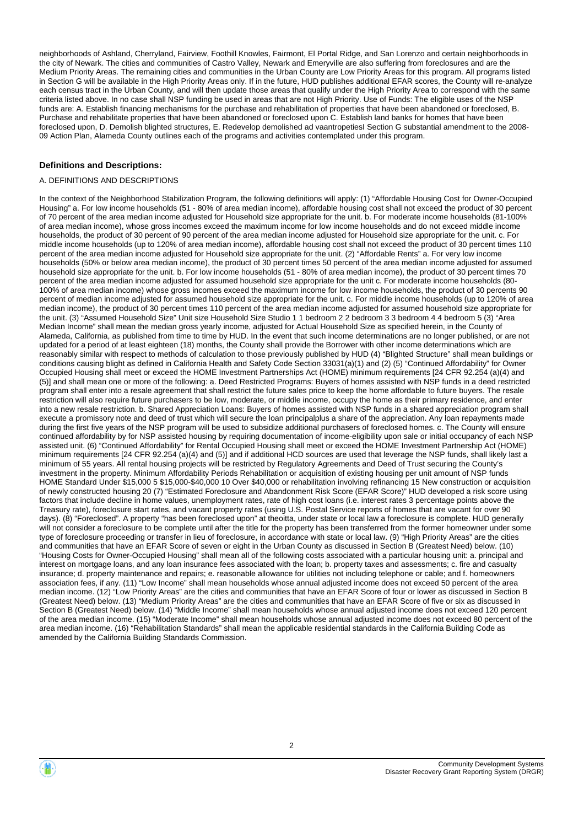neighborhoods of Ashland, Cherryland, Fairview, Foothill Knowles, Fairmont, El Portal Ridge, and San Lorenzo and certain neighborhoods in the city of Newark. The cities and communities of Castro Valley, Newark and Emeryville are also suffering from foreclosures and are the Medium Priority Areas. The remaining cities and communities in the Urban County are Low Priority Areas for this program. All programs listed in Section G will be available in the High Priority Areas only. If in the future, HUD publishes additional EFAR scores, the County will re-analyze each census tract in the Urban County, and will then update those areas that qualify under the High Priority Area to correspond with the same criteria listed above. In no case shall NSP funding be used in areas that are not High Priority. Use of Funds: The eligible uses of the NSP funds are: A. Establish financing mechanisms for the purchase and rehabilitation of properties that have been abandoned or foreclosed, B. Purchase and rehabilitate properties that have been abandoned or foreclosed upon C. Establish land banks for homes that have been foreclosed upon, D. Demolish blighted structures, E. Redevelop demolished ad vaantropetiesI Section G substantial amendment to the 2008- 09 Action Plan, Alameda County outlines each of the programs and activities contemplated under this program.

#### **Definitions and Descriptions:**

#### A. DEFINITIONS AND DESCRIPTIONS

In the context of the Neighborhood Stabilization Program, the following definitions will apply: (1) "Affordable Housing Cost for Owner-Occupied Housing" a. For low income households (51 - 80% of area median income), affordable housing cost shall not exceed the product of 30 percent of 70 percent of the area median income adjusted for Household size appropriate for the unit. b. For moderate income households (81-100% of area median income), whose gross incomes exceed the maximum income for low income households and do not exceed middle income households, the product of 30 percent of 90 percent of the area median income adjusted for Household size appropriate for the unit. c. For middle income households (up to 120% of area median income), affordable housing cost shall not exceed the product of 30 percent times 110 percent of the area median income adjusted for Household size appropriate for the unit. (2) "Affordable Rents" a. For very low income households (50% or below area median income), the product of 30 percent times 50 percent of the area median income adjusted for assumed household size appropriate for the unit. b. For low income households (51 - 80% of area median income), the product of 30 percent times 70 percent of the area median income adjusted for assumed household size appropriate for the unit c. For moderate income households (80- 100% of area median income) whose gross incomes exceed the maximum income for low income households, the product of 30 percents 90 percent of median income adjusted for assumed household size appropriate for the unit. c. For middle income households (up to 120% of area median income), the product of 30 percent times 110 percent of the area median income adjusted for assumed household size appropriate for the unit. (3) "Assumed Household Size" Unit size Household Size Studio 1 1 bedroom 2 2 bedroom 3 3 bedroom 4 4 bedroom 5 (3) "Area Median Income" shall mean the median gross yearly income, adjusted for Actual Household Size as specified herein, in the County of Alameda, California, as published from time to time by HUD. In the event that such income determinations are no longer published, or are not updated for a period of at least eighteen (18) months, the County shall provide the Borrower with other income determinations which are reasonably similar with respect to methods of calculation to those previously published by HUD (4) "Blighted Structure" shall mean buildings or conditions causing blight as defined in California Health and Safety Code Section 33031(a)(1) and (2) (5) "Continued Affordability" for Owner Occupied Housing shall meet or exceed the HOME Investment Partnerships Act (HOME) minimum requirements [24 CFR 92.254 (a)(4) and (5)] and shall mean one or more of the following: a. Deed Restricted Programs: Buyers of homes assisted with NSP funds in a deed restricted program shall enter into a resale agreement that shall restrict the future sales price to keep the home affordable to future buyers. The resale restriction will also require future purchasers to be low, moderate, or middle income, occupy the home as their primary residence, and enter into a new resale restriction. b. Shared Appreciation Loans: Buyers of homes assisted with NSP funds in a shared appreciation program shall execute a promissory note and deed of trust which will secure the loan principalplus a share of the appreciation. Any loan repayments made during the first five years of the NSP program will be used to subsidize additional purchasers of foreclosed homes. c. The County will ensure continued affordability by for NSP assisted housing by requiring documentation of income-eligibility upon sale or initial occupancy of each NSP assisted unit. (6) "Continued Affordability" for Rental Occupied Housing shall meet or exceed the HOME Investment Partnership Act (HOME) minimum requirements [24 CFR 92.254 (a)(4) and (5)] and if additional HCD sources are used that leverage the NSP funds, shall likely last a minimum of 55 years. All rental housing projects will be restricted by Regulatory Agreements and Deed of Trust securing the County's investment in the property. Minimum Affordability Periods Rehabilitation or acquisition of existing housing per unit amount of NSP funds HOME Standard Under \$15,000 5 \$15,000-\$40,000 10 Over \$40,000 or rehabilitation involving refinancing 15 New construction or acquisition of newly constructed housing 20 (7) "Estimated Foreclosure and Abandonment Risk Score (EFAR Score)" HUD developed a risk score using factors that include decline in home values, unemployment rates, rate of high cost loans (i.e. interest rates 3 percentage points above the Treasury rate), foreclosure start rates, and vacant property rates (using U.S. Postal Service reports of homes that are vacant for over 90 days). (8) "Foreclosed". A property "has been foreclosed upon" at theoitta, under state or local law a foreclosure is complete. HUD generally will not consider a foreclosure to be complete until after the title for the property has been transferred from the former homeowner under some type of foreclosure proceeding or transfer in lieu of foreclosure, in accordance with state or local law. (9) "High Priority Areas" are the cities and communities that have an EFAR Score of seven or eight in the Urban County as discussed in Section B (Greatest Need) below. (10) "Housing Costs for Owner-Occupied Housing" shall mean all of the following costs associated with a particular housing unit: a. principal and interest on mortgage loans, and any loan insurance fees associated with the loan; b. property taxes and assessments; c. fire and casualty insurance; d. property maintenance and repairs; e. reasonable allowance for utilities not including telephone or cable; and f. homeowners association fees, if any. (11) "Low Income" shall mean households whose annual adjusted income does not exceed 50 percent of the area median income. (12) "Low Priority Areas" are the cities and communities that have an EFAR Score of four or lower as discussed in Section B (Greatest Need) below. (13) "Medium Priority Areas" are the cities and communities that have an EFAR Score of five or six as discussed in Section B (Greatest Need) below. (14) "Middle Income" shall mean households whose annual adjusted income does not exceed 120 percent of the area median income. (15) "Moderate Income" shall mean households whose annual adjusted income does not exceed 80 percent of the area median income. (16) "Rehabilitation Standards" shall mean the applicable residential standards in the California Building Code as amended by the California Building Standards Commission.

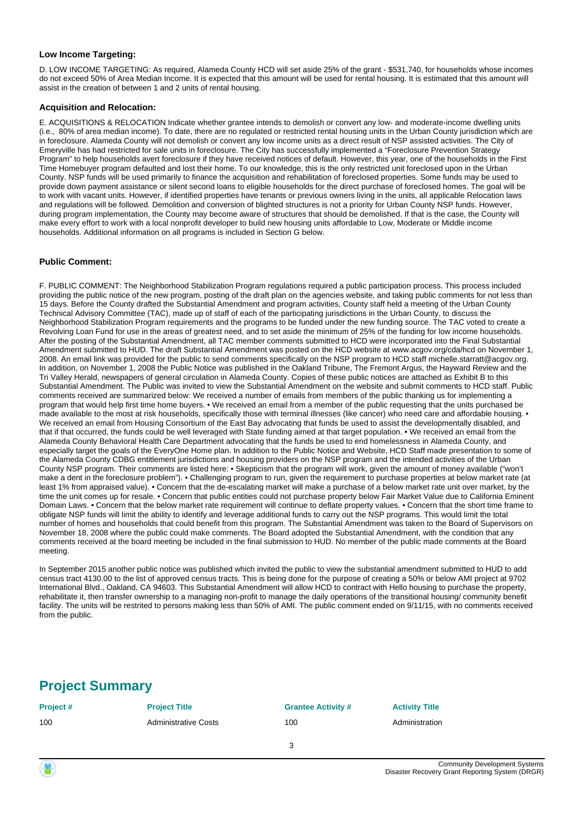#### **Low Income Targeting:**

D. LOW INCOME TARGETING: As required, Alameda County HCD will set aside 25% of the grant - \$531,740, for households whose incomes do not exceed 50% of Area Median Income. It is expected that this amount will be used for rental housing. It is estimated that this amount will assist in the creation of between 1 and 2 units of rental housing.

#### **Acquisition and Relocation:**

E. ACQUISITIONS & RELOCATION Indicate whether grantee intends to demolish or convert any low- and moderate-income dwelling units (i.e., 80% of area median income). To date, there are no regulated or restricted rental housing units in the Urban County jurisdiction which are in foreclosure. Alameda County will not demolish or convert any low income units as a direct result of NSP assisted activities. The City of Emeryville has had restricted for sale units in foreclosure. The City has successfully implemented a "Foreclosure Prevention Strategy Program" to help households avert foreclosure if they have received notices of default. However, this year, one of the households in the First Time Homebuyer program defaulted and lost their home. To our knowledge, this is the only restricted unit foreclosed upon in the Urban County. NSP funds will be used primarily to finance the acquisition and rehabilitation of foreclosed properties. Some funds may be used to provide down payment assistance or silent second loans to eligible households for the direct purchase of foreclosed homes. The goal will be to work with vacant units. However, if identified properties have tenants or previous owners living in the units, all applicable Relocation laws and regulations will be followed. Demolition and conversion of blighted structures is not a priority for Urban County NSP funds. However, during program implementation, the County may become aware of structures that should be demolished. If that is the case, the County will make every effort to work with a local nonprofit developer to build new housing units affordable to Low, Moderate or Middle income households. Additional information on all programs is included in Section G below.

#### **Public Comment:**

F. PUBLIC COMMENT: The Neighborhood Stabilization Program regulations required a public participation process. This process included providing the public notice of the new program, posting of the draft plan on the agencies website, and taking public comments for not less than 15 days. Before the County drafted the Substantial Amendment and program activities, County staff held a meeting of the Urban County Technical Advisory Committee (TAC), made up of staff of each of the participating jurisdictions in the Urban County, to discuss the Neighborhood Stabilization Program requirements and the programs to be funded under the new funding source. The TAC voted to create a Revolving Loan Fund for use in the areas of greatest need, and to set aside the minimum of 25% of the funding for low income households. After the posting of the Substantial Amendment, all TAC member comments submitted to HCD were incorporated into the Final Substantial Amendment submitted to HUD. The draft Substantial Amendment was posted on the HCD website at www.acgov.org/cda/hcd on November 1, 2008. An email link was provided for the public to send comments specifically on the NSP program to HCD staff michelle.starratt@acgov.org. In addition, on November 1, 2008 the Public Notice was published in the Oakland Tribune, The Fremont Argus, the Hayward Review and the Tri Valley Herald, newspapers of general circulation in Alameda County. Copies of these public notices are attached as Exhibit B to this Substantial Amendment. The Public was invited to view the Substantial Amendment on the website and submit comments to HCD staff. Public comments received are summarized below: We received a number of emails from members of the public thanking us for implementing a program that would help first time home buyers. • We received an email from a member of the public requesting that the units purchased be made available to the most at risk households, specifically those with terminal illnesses (like cancer) who need care and affordable housing. • We received an email from Housing Consortium of the East Bay advocating that funds be used to assist the developmentally disabled, and that if that occurred, the funds could be well leveraged with State funding aimed at that target population. • We received an email from the Alameda County Behavioral Health Care Department advocating that the funds be used to end homelessness in Alameda County, and especially target the goals of the EveryOne Home plan. In addition to the Public Notice and Website, HCD Staff made presentation to some of the Alameda County CDBG entitlement jurisdictions and housing providers on the NSP program and the intended activities of the Urban County NSP program. Their comments are listed here: • Skepticism that the program will work, given the amount of money available ("won't make a dent in the foreclosure problem"). • Challenging program to run, given the requirement to purchase properties at below market rate (at least 1% from appraised value). • Concern that the de-escalating market will make a purchase of a below market rate unit over market, by the time the unit comes up for resale. • Concern that public entities could not purchase property below Fair Market Value due to California Eminent Domain Laws. • Concern that the below market rate requirement will continue to deflate property values. • Concern that the short time frame to obligate NSP funds will limit the ability to identify and leverage additional funds to carry out the NSP programs. This would limit the total number of homes and households that could benefit from this program. The Substantial Amendment was taken to the Board of Supervisors on November 18, 2008 where the public could make comments. The Board adopted the Substantial Amendment, with the condition that any comments received at the board meeting be included in the final submission to HUD. No member of the public made comments at the Board meeting.

In September 2015 another public notice was published which invited the public to view the substantial amendment submitted to HUD to add census tract 4130.00 to the list of approved census tracts. This is being done for the purpose of creating a 50% or below AMI project at 9702 International Blvd., Oakland, CA 94603. This Substantial Amendment will allow HCD to contract with Hello housing to purchase the property, rehabilitate it, then transfer ownership to a managing non-profit to manage the daily operations of the transitional housing/ community benefit facility. The units will be restrited to persons making less than 50% of AMI. The public comment ended on 9/11/15, with no comments received from the public.

### **Project Summary**

| Project# | <b>Project Title</b>        | <b>Grantee Activity #</b> | <b>Activity Title</b> |
|----------|-----------------------------|---------------------------|-----------------------|
| 100      | <b>Administrative Costs</b> | 100                       | Administration        |
|          |                             | 3                         |                       |



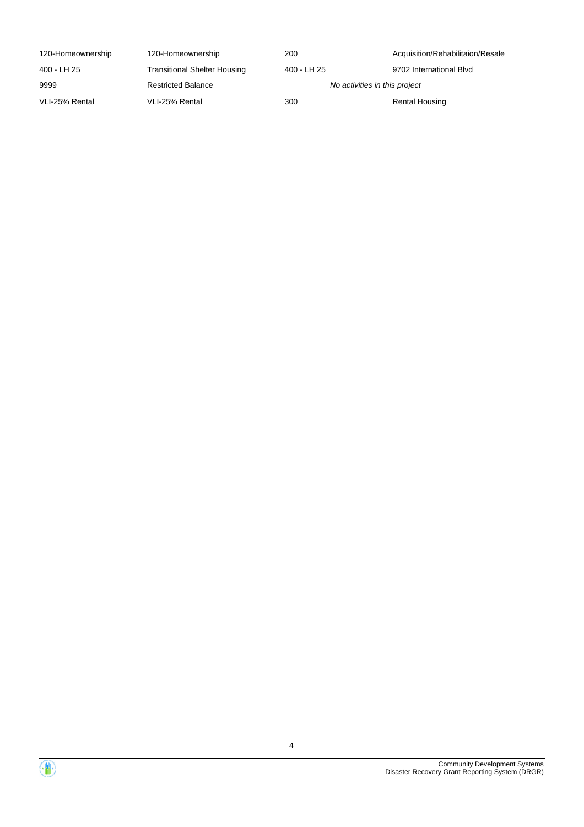| 120-Homeownership | 120-Homeownership                   | 200                           | Acquisition/Rehabilitaion/Resale |
|-------------------|-------------------------------------|-------------------------------|----------------------------------|
| 400 - LH 25       | <b>Transitional Shelter Housing</b> | 400 - LH 25                   | 9702 International Blvd          |
| 9999              | <b>Restricted Balance</b>           | No activities in this project |                                  |
| VLI-25% Rental    | VLI-25% Rental                      | 300                           | Rental Housing                   |

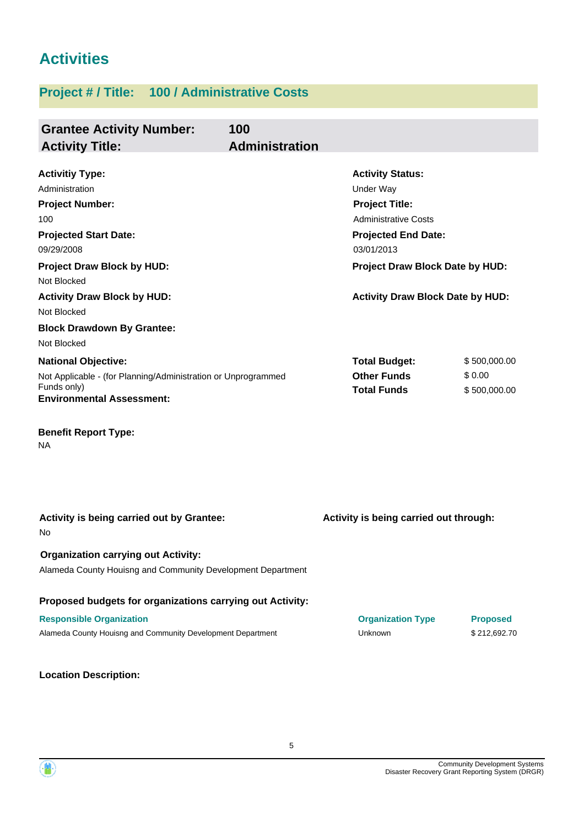# **Activities**

## **Project # / Title: 100 / Administrative Costs**

| <b>Grantee Activity Number:</b>                               | 100                   |                                         |                 |
|---------------------------------------------------------------|-----------------------|-----------------------------------------|-----------------|
| <b>Activity Title:</b>                                        | <b>Administration</b> |                                         |                 |
|                                                               |                       |                                         |                 |
| <b>Activitiy Type:</b>                                        |                       | <b>Activity Status:</b>                 |                 |
| Administration                                                |                       | Under Way                               |                 |
| <b>Project Number:</b>                                        |                       | <b>Project Title:</b>                   |                 |
| 100                                                           |                       | <b>Administrative Costs</b>             |                 |
| <b>Projected Start Date:</b>                                  |                       | <b>Projected End Date:</b>              |                 |
| 09/29/2008                                                    |                       | 03/01/2013                              |                 |
| <b>Project Draw Block by HUD:</b><br>Not Blocked              |                       | Project Draw Block Date by HUD:         |                 |
| <b>Activity Draw Block by HUD:</b><br>Not Blocked             |                       | <b>Activity Draw Block Date by HUD:</b> |                 |
| <b>Block Drawdown By Grantee:</b>                             |                       |                                         |                 |
| Not Blocked                                                   |                       |                                         |                 |
| <b>National Objective:</b>                                    |                       | <b>Total Budget:</b>                    | \$500,000.00    |
| Not Applicable - (for Planning/Administration or Unprogrammed |                       | <b>Other Funds</b>                      | \$0.00          |
| Funds only)<br><b>Environmental Assessment:</b>               |                       | <b>Total Funds</b>                      | \$500,000.00    |
| <b>Benefit Report Type:</b><br>NA                             |                       |                                         |                 |
| Activity is being carried out by Grantee:<br>No               |                       | Activity is being carried out through:  |                 |
| <b>Organization carrying out Activity:</b>                    |                       |                                         |                 |
| Alameda County Houisng and Community Development Department   |                       |                                         |                 |
| Proposed budgets for organizations carrying out Activity:     |                       |                                         |                 |
| <b>Responsible Organization</b>                               |                       | <b>Organization Type</b>                | <b>Proposed</b> |
| Alameda County Houisng and Community Development Department   |                       | Unknown                                 | \$212,692.70    |

**Location Description:**



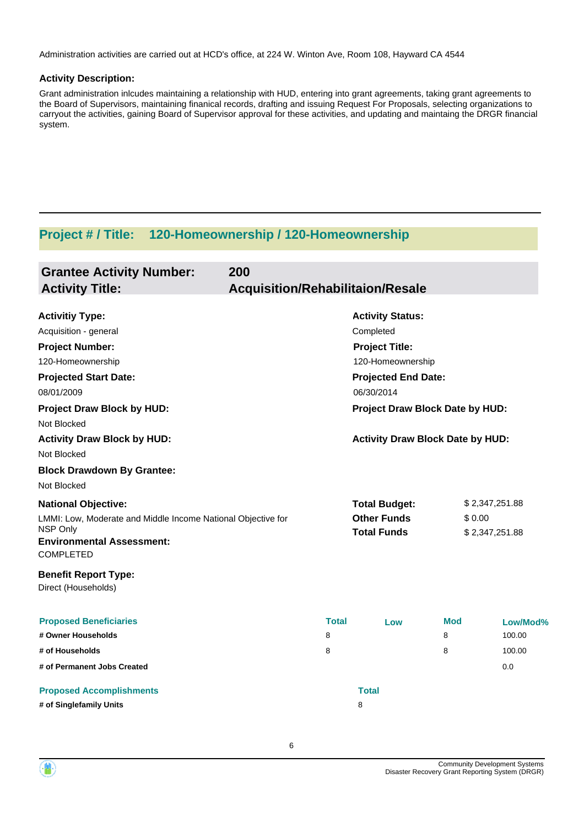Administration activities are carried out at HCD's office, at 224 W. Winton Ave, Room 108, Hayward CA 4544

#### **Activity Description:**

Grant administration inlcudes maintaining a relationship with HUD, entering into grant agreements, taking grant agreements to the Board of Supervisors, maintaining finanical records, drafting and issuing Request For Proposals, selecting organizations to carryout the activities, gaining Board of Supervisor approval for these activities, and updating and maintaing the DRGR financial system.

## **Project # / Title: 120-Homeownership / 120-Homeownership**

| <b>Grantee Activity Number:</b><br><b>Activity Title:</b>        | 200<br><b>Acquisition/Rehabilitaion/Resale</b> |                                         |            |                |
|------------------------------------------------------------------|------------------------------------------------|-----------------------------------------|------------|----------------|
| <b>Activitiy Type:</b>                                           |                                                | <b>Activity Status:</b>                 |            |                |
| Acquisition - general                                            |                                                | Completed                               |            |                |
| <b>Project Number:</b>                                           |                                                | <b>Project Title:</b>                   |            |                |
| 120-Homeownership                                                |                                                | 120-Homeownership                       |            |                |
| <b>Projected Start Date:</b>                                     |                                                | <b>Projected End Date:</b>              |            |                |
| 08/01/2009                                                       |                                                | 06/30/2014                              |            |                |
| <b>Project Draw Block by HUD:</b><br>Not Blocked                 |                                                | Project Draw Block Date by HUD:         |            |                |
| <b>Activity Draw Block by HUD:</b><br>Not Blocked                |                                                | <b>Activity Draw Block Date by HUD:</b> |            |                |
| <b>Block Drawdown By Grantee:</b><br>Not Blocked                 |                                                |                                         |            |                |
| <b>National Objective:</b>                                       |                                                | <b>Total Budget:</b>                    |            | \$2,347,251.88 |
| LMMI: Low, Moderate and Middle Income National Objective for     |                                                | <b>Other Funds</b>                      | \$0.00     |                |
| NSP Only<br><b>Environmental Assessment:</b><br><b>COMPLETED</b> |                                                | <b>Total Funds</b>                      |            | \$2,347,251.88 |
| <b>Benefit Report Type:</b><br>Direct (Households)               |                                                |                                         |            |                |
| <b>Proposed Beneficiaries</b>                                    | <b>Total</b>                                   | Low                                     | <b>Mod</b> | Low/Mod%       |
| # Owner Households                                               | 8                                              |                                         | 8          | 100.00         |
| # of Households                                                  | 8                                              |                                         | 8          | 100.00         |
| # of Permanent Jobs Created                                      |                                                |                                         |            | 0.0            |
| <b>Proposed Accomplishments</b>                                  |                                                | <b>Total</b>                            |            |                |
| # of Singlefamily Units                                          |                                                | 8                                       |            |                |

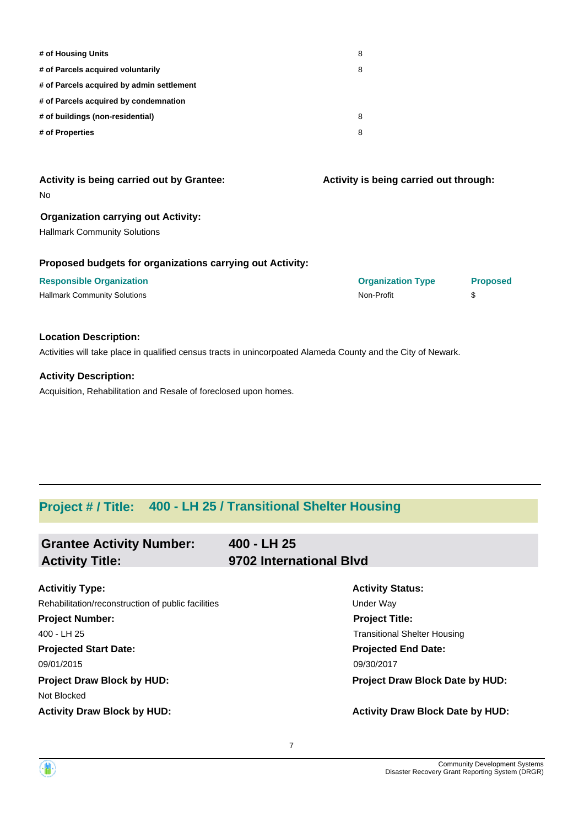| # of Housing Units                        | 8 |
|-------------------------------------------|---|
| # of Parcels acquired voluntarily         | 8 |
| # of Parcels acquired by admin settlement |   |
| # of Parcels acquired by condemnation     |   |
| # of buildings (non-residential)          | 8 |
| # of Properties                           | 8 |

No **Activity is being carried out by Grantee:**

#### **Organization carrying out Activity:**

Hallmark Community Solutions

#### **Proposed budgets for organizations carrying out Activity:**

| <b>Responsible Organization</b>     | <b>Organization Type</b> | <b>Proposed</b> |
|-------------------------------------|--------------------------|-----------------|
| <b>Hallmark Community Solutions</b> | Non-Profit               |                 |

**Activity is being carried out through:**

#### **Location Description:**

Activities will take place in qualified census tracts in unincorpoated Alameda County and the City of Newark.

#### **Activity Description:**

Acquisition, Rehabilitation and Resale of foreclosed upon homes.

## **Project # / Title: 400 - LH 25 / Transitional Shelter Housing**

| <b>Grantee Activity Number:</b> | 400 - LH 25             |
|---------------------------------|-------------------------|
| <b>Activity Title:</b>          | 9702 International Blvd |

| <b>Activitiy Type:</b>                             | <b>Activity Status:</b>                 |
|----------------------------------------------------|-----------------------------------------|
| Rehabilitation/reconstruction of public facilities | Under Way                               |
| <b>Project Number:</b>                             | <b>Project Title:</b>                   |
| 400 - LH 25                                        | <b>Transitional Shelter Housing</b>     |
| <b>Projected Start Date:</b>                       | <b>Projected End Date:</b>              |
| 09/01/2015                                         | 09/30/2017                              |
| <b>Project Draw Block by HUD:</b>                  | Project Draw Block Date by HUD:         |
| Not Blocked                                        |                                         |
| <b>Activity Draw Block by HUD:</b>                 | <b>Activity Draw Block Date by HUD:</b> |

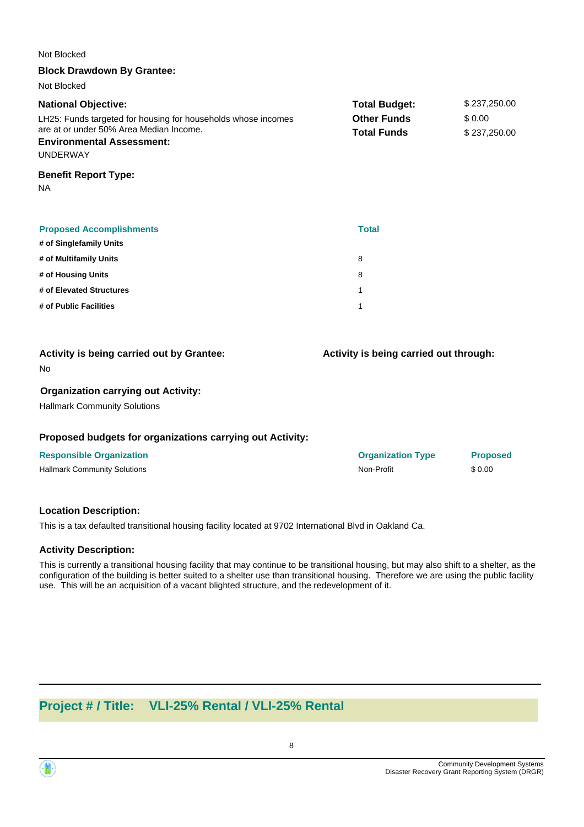| Not Blocked                                                                                                                                                                                   |                                                                  |                                        |
|-----------------------------------------------------------------------------------------------------------------------------------------------------------------------------------------------|------------------------------------------------------------------|----------------------------------------|
| <b>Block Drawdown By Grantee:</b>                                                                                                                                                             |                                                                  |                                        |
| Not Blocked                                                                                                                                                                                   |                                                                  |                                        |
| <b>National Objective:</b><br>LH25: Funds targeted for housing for households whose incomes<br>are at or under 50% Area Median Income.<br><b>Environmental Assessment:</b><br><b>UNDERWAY</b> | <b>Total Budget:</b><br><b>Other Funds</b><br><b>Total Funds</b> | \$237,250.00<br>\$0.00<br>\$237,250.00 |
| <b>Benefit Report Type:</b><br><b>NA</b>                                                                                                                                                      |                                                                  |                                        |
| <b>Proposed Accomplishments</b><br># of Singlefamily Units                                                                                                                                    | <b>Total</b>                                                     |                                        |
| # of Multifamily Units                                                                                                                                                                        | 8                                                                |                                        |
| # of Housing Units                                                                                                                                                                            | 8                                                                |                                        |
| # of Elevated Structures                                                                                                                                                                      | 1                                                                |                                        |
| # of Public Facilities                                                                                                                                                                        | 1                                                                |                                        |
| Activity is being carried out by Grantee:<br>No                                                                                                                                               | Activity is being carried out through:                           |                                        |
| <b>Organization carrying out Activity:</b>                                                                                                                                                    |                                                                  |                                        |

Hallmark Community Solutions

#### **Proposed budgets for organizations carrying out Activity:**

Hallmark Community Solutions **Non-Profit** \$ 0.00

#### **Location Description:**

This is a tax defaulted transitional housing facility located at 9702 International Blvd in Oakland Ca.

#### **Activity Description:**

This is currently a transitional housing facility that may continue to be transitional housing, but may also shift to a shelter, as the configuration of the building is better suited to a shelter use than transitional housing. Therefore we are using the public facility use. This will be an acquisition of a vacant blighted structure, and the redevelopment of it.

## **Project # / Title: VLI-25% Rental / VLI-25% Rental**

**Responsible Organization Organization Type Proposed**

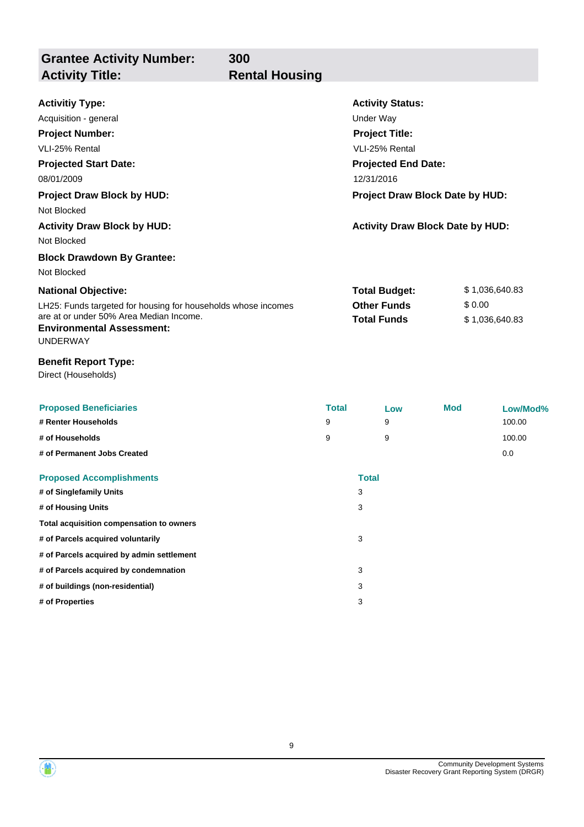| <b>Grantee Activity Number:</b><br><b>Activity Title:</b>                                      | 300<br><b>Rental Housing</b> |                                         |                |
|------------------------------------------------------------------------------------------------|------------------------------|-----------------------------------------|----------------|
|                                                                                                |                              |                                         |                |
| <b>Activitiy Type:</b>                                                                         |                              | <b>Activity Status:</b>                 |                |
| Acquisition - general                                                                          |                              | Under Way                               |                |
| <b>Project Number:</b>                                                                         |                              | <b>Project Title:</b>                   |                |
| VLI-25% Rental                                                                                 |                              | VLI-25% Rental                          |                |
| <b>Projected Start Date:</b>                                                                   |                              | <b>Projected End Date:</b>              |                |
| 08/01/2009                                                                                     |                              | 12/31/2016                              |                |
| <b>Project Draw Block by HUD:</b>                                                              |                              | Project Draw Block Date by HUD:         |                |
| Not Blocked                                                                                    |                              |                                         |                |
| <b>Activity Draw Block by HUD:</b>                                                             |                              | <b>Activity Draw Block Date by HUD:</b> |                |
| Not Blocked                                                                                    |                              |                                         |                |
| <b>Block Drawdown By Grantee:</b>                                                              |                              |                                         |                |
| Not Blocked                                                                                    |                              |                                         |                |
| <b>National Objective:</b>                                                                     |                              | <b>Total Budget:</b>                    | \$1,036,640.83 |
| LH25: Funds targeted for housing for households whose incomes                                  |                              | <b>Other Funds</b>                      | \$0.00         |
| are at or under 50% Area Median Income.<br><b>Environmental Assessment:</b><br><b>UNDERWAY</b> |                              | <b>Total Funds</b>                      | \$1,036,640.83 |
| <b>Benefit Report Type:</b>                                                                    |                              |                                         |                |
| Direct (Households)                                                                            |                              |                                         |                |

| <b>Proposed Beneficiaries</b>             | <b>Total</b> | Low | <b>Mod</b> | Low/Mod% |
|-------------------------------------------|--------------|-----|------------|----------|
| # Renter Households                       | 9            | 9   |            | 100.00   |
| # of Households                           | 9            | 9   |            | 100.00   |
| # of Permanent Jobs Created               |              |     |            | 0.0      |
| <b>Proposed Accomplishments</b>           | <b>Total</b> |     |            |          |
| # of Singlefamily Units                   | 3            |     |            |          |
| # of Housing Units                        | 3            |     |            |          |
| Total acquisition compensation to owners  |              |     |            |          |
| # of Parcels acquired voluntarily         | 3            |     |            |          |
| # of Parcels acquired by admin settlement |              |     |            |          |
| # of Parcels acquired by condemnation     | 3            |     |            |          |
| # of buildings (non-residential)          | 3            |     |            |          |
| # of Properties                           | 3            |     |            |          |
|                                           |              |     |            |          |